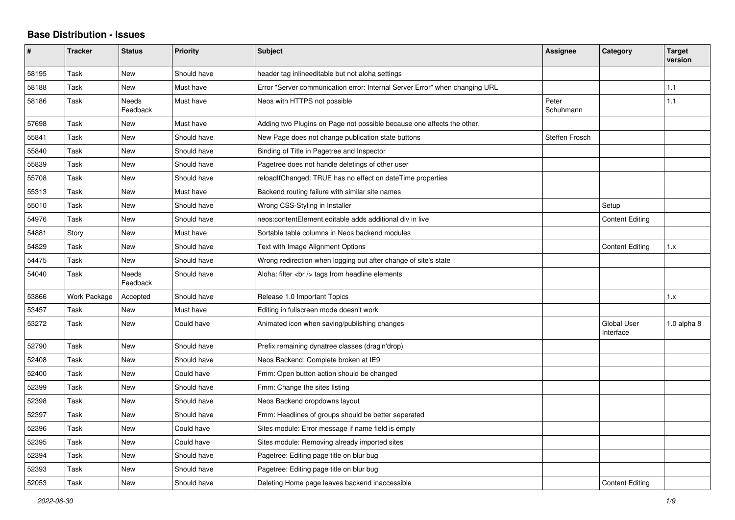## **Base Distribution - Issues**

| #     | <b>Tracker</b> | <b>Status</b>            | <b>Priority</b> | <b>Subject</b>                                                              | Assignee           | Category                        | <b>Target</b><br>version |
|-------|----------------|--------------------------|-----------------|-----------------------------------------------------------------------------|--------------------|---------------------------------|--------------------------|
| 58195 | Task           | <b>New</b>               | Should have     | header tag inlineeditable but not aloha settings                            |                    |                                 |                          |
| 58188 | Task           | <b>New</b>               | Must have       | Error "Server communication error: Internal Server Error" when changing URL |                    |                                 | 1.1                      |
| 58186 | Task           | <b>Needs</b><br>Feedback | Must have       | Neos with HTTPS not possible                                                | Peter<br>Schuhmann |                                 | 1.1                      |
| 57698 | Task           | <b>New</b>               | Must have       | Adding two Plugins on Page not possible because one affects the other.      |                    |                                 |                          |
| 55841 | Task           | <b>New</b>               | Should have     | New Page does not change publication state buttons                          | Steffen Frosch     |                                 |                          |
| 55840 | Task           | <b>New</b>               | Should have     | Binding of Title in Pagetree and Inspector                                  |                    |                                 |                          |
| 55839 | Task           | New                      | Should have     | Pagetree does not handle deletings of other user                            |                    |                                 |                          |
| 55708 | Task           | <b>New</b>               | Should have     | reloadIfChanged: TRUE has no effect on dateTime properties                  |                    |                                 |                          |
| 55313 | Task           | <b>New</b>               | Must have       | Backend routing failure with similar site names                             |                    |                                 |                          |
| 55010 | Task           | <b>New</b>               | Should have     | Wrong CSS-Styling in Installer                                              |                    | Setup                           |                          |
| 54976 | Task           | <b>New</b>               | Should have     | neos: content Element. editable adds additional div in live                 |                    | <b>Content Editing</b>          |                          |
| 54881 | Story          | <b>New</b>               | Must have       | Sortable table columns in Neos backend modules                              |                    |                                 |                          |
| 54829 | Task           | <b>New</b>               | Should have     | Text with Image Alignment Options                                           |                    | <b>Content Editing</b>          | 1.x                      |
| 54475 | Task           | New                      | Should have     | Wrong redirection when logging out after change of site's state             |                    |                                 |                          |
| 54040 | Task           | <b>Needs</b><br>Feedback | Should have     | Aloha: filter<br>tags from headline elements                                |                    |                                 |                          |
| 53866 | Work Package   | Accepted                 | Should have     | Release 1.0 Important Topics                                                |                    |                                 | 1.x                      |
| 53457 | Task           | <b>New</b>               | Must have       | Editing in fullscreen mode doesn't work                                     |                    |                                 |                          |
| 53272 | Task           | <b>New</b>               | Could have      | Animated icon when saving/publishing changes                                |                    | <b>Global User</b><br>Interface | $1.0$ alpha $8$          |
| 52790 | Task           | <b>New</b>               | Should have     | Prefix remaining dynatree classes (drag'n'drop)                             |                    |                                 |                          |
| 52408 | Task           | New                      | Should have     | Neos Backend: Complete broken at IE9                                        |                    |                                 |                          |
| 52400 | Task           | New                      | Could have      | Fmm: Open button action should be changed                                   |                    |                                 |                          |
| 52399 | Task           | <b>New</b>               | Should have     | Fmm: Change the sites listing                                               |                    |                                 |                          |
| 52398 | Task           | <b>New</b>               | Should have     | Neos Backend dropdowns layout                                               |                    |                                 |                          |
| 52397 | Task           | <b>New</b>               | Should have     | Fmm: Headlines of groups should be better seperated                         |                    |                                 |                          |
| 52396 | Task           | <b>New</b>               | Could have      | Sites module: Error message if name field is empty                          |                    |                                 |                          |
| 52395 | Task           | <b>New</b>               | Could have      | Sites module: Removing already imported sites                               |                    |                                 |                          |
| 52394 | Task           | New                      | Should have     | Pagetree: Editing page title on blur bug                                    |                    |                                 |                          |
| 52393 | Task           | <b>New</b>               | Should have     | Pagetree: Editing page title on blur bug                                    |                    |                                 |                          |
| 52053 | Task           | <b>New</b>               | Should have     | Deleting Home page leaves backend inaccessible                              |                    | <b>Content Editing</b>          |                          |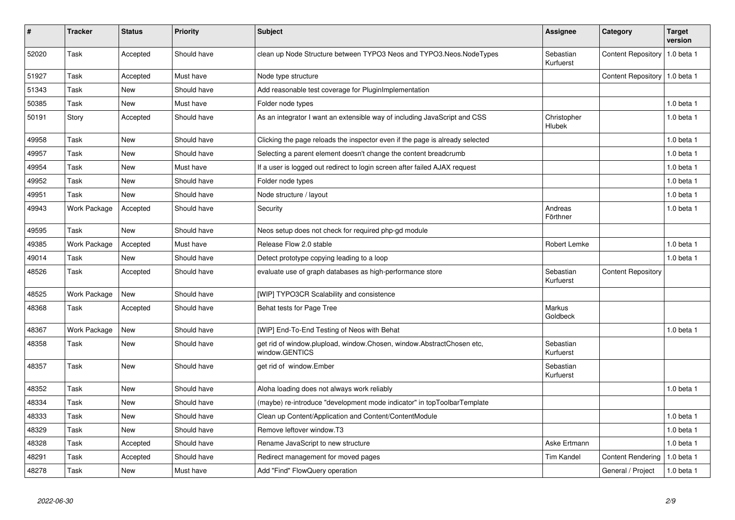| $\pmb{\#}$ | <b>Tracker</b> | <b>Status</b> | <b>Priority</b> | <b>Subject</b>                                                                          | <b>Assignee</b>              | Category                        | <b>Target</b><br>version |
|------------|----------------|---------------|-----------------|-----------------------------------------------------------------------------------------|------------------------------|---------------------------------|--------------------------|
| 52020      | Task           | Accepted      | Should have     | clean up Node Structure between TYPO3 Neos and TYPO3.Neos.NodeTypes                     | Sebastian<br>Kurfuerst       | <b>Content Repository</b>       | 1.0 beta 1               |
| 51927      | Task           | Accepted      | Must have       | Node type structure                                                                     |                              | Content Repository   1.0 beta 1 |                          |
| 51343      | Task           | <b>New</b>    | Should have     | Add reasonable test coverage for PluginImplementation                                   |                              |                                 |                          |
| 50385      | Task           | New           | Must have       | Folder node types                                                                       |                              |                                 | $1.0$ beta $1$           |
| 50191      | Story          | Accepted      | Should have     | As an integrator I want an extensible way of including JavaScript and CSS               | Christopher<br><b>Hlubek</b> |                                 | 1.0 beta 1               |
| 49958      | Task           | New           | Should have     | Clicking the page reloads the inspector even if the page is already selected            |                              |                                 | $1.0$ beta $1$           |
| 49957      | Task           | New           | Should have     | Selecting a parent element doesn't change the content breadcrumb                        |                              |                                 | 1.0 beta 1               |
| 49954      | Task           | New           | Must have       | If a user is logged out redirect to login screen after failed AJAX request              |                              |                                 | 1.0 beta 1               |
| 49952      | Task           | <b>New</b>    | Should have     | Folder node types                                                                       |                              |                                 | 1.0 beta 1               |
| 49951      | Task           | New           | Should have     | Node structure / layout                                                                 |                              |                                 | 1.0 beta 1               |
| 49943      | Work Package   | Accepted      | Should have     | Security                                                                                | Andreas<br>Förthner          |                                 | $1.0$ beta $1$           |
| 49595      | Task           | New           | Should have     | Neos setup does not check for required php-gd module                                    |                              |                                 |                          |
| 49385      | Work Package   | Accepted      | Must have       | Release Flow 2.0 stable                                                                 | <b>Robert Lemke</b>          |                                 | $1.0$ beta $1$           |
| 49014      | Task           | <b>New</b>    | Should have     | Detect prototype copying leading to a loop                                              |                              |                                 | 1.0 beta 1               |
| 48526      | Task           | Accepted      | Should have     | evaluate use of graph databases as high-performance store                               | Sebastian<br>Kurfuerst       | <b>Content Repository</b>       |                          |
| 48525      | Work Package   | New           | Should have     | [WIP] TYPO3CR Scalability and consistence                                               |                              |                                 |                          |
| 48368      | Task           | Accepted      | Should have     | Behat tests for Page Tree                                                               | Markus<br>Goldbeck           |                                 |                          |
| 48367      | Work Package   | New           | Should have     | [WIP] End-To-End Testing of Neos with Behat                                             |                              |                                 | 1.0 beta 1               |
| 48358      | Task           | New           | Should have     | get rid of window.plupload, window.Chosen, window.AbstractChosen etc,<br>window.GENTICS | Sebastian<br>Kurfuerst       |                                 |                          |
| 48357      | Task           | New           | Should have     | get rid of window.Ember                                                                 | Sebastian<br>Kurfuerst       |                                 |                          |
| 48352      | Task           | New           | Should have     | Aloha loading does not always work reliably                                             |                              |                                 | $1.0$ beta $1$           |
| 48334      | Task           | New           | Should have     | (maybe) re-introduce "development mode indicator" in topToolbarTemplate                 |                              |                                 |                          |
| 48333      | Task           | <b>New</b>    | Should have     | Clean up Content/Application and Content/ContentModule                                  |                              |                                 | 1.0 beta 1               |
| 48329      | Task           | New           | Should have     | Remove leftover window.T3                                                               |                              |                                 | 1.0 beta 1               |
| 48328      | Task           | Accepted      | Should have     | Rename JavaScript to new structure                                                      | Aske Ertmann                 |                                 | 1.0 beta 1               |
| 48291      | Task           | Accepted      | Should have     | Redirect management for moved pages                                                     | <b>Tim Kandel</b>            | <b>Content Rendering</b>        | 1.0 beta 1               |
| 48278      | Task           | New           | Must have       | Add "Find" FlowQuery operation                                                          |                              | General / Project               | 1.0 beta 1               |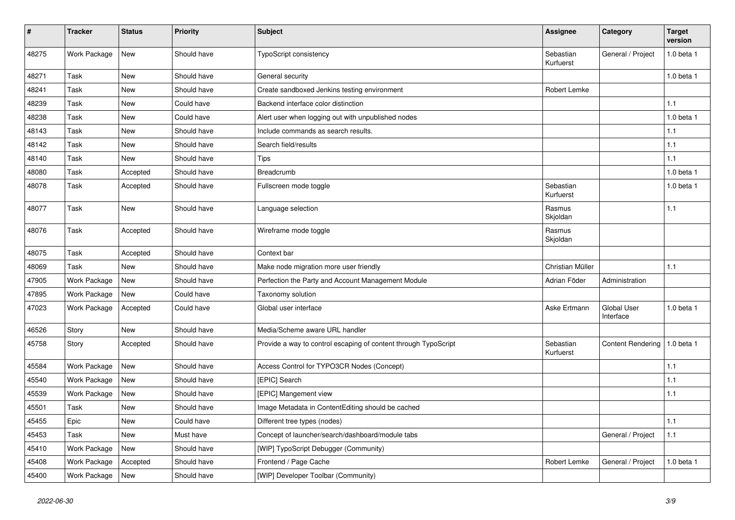| #     | <b>Tracker</b> | <b>Status</b> | <b>Priority</b> | <b>Subject</b>                                                  | <b>Assignee</b>        | Category                 | <b>Target</b><br>version |
|-------|----------------|---------------|-----------------|-----------------------------------------------------------------|------------------------|--------------------------|--------------------------|
| 48275 | Work Package   | New           | Should have     | TypoScript consistency                                          | Sebastian<br>Kurfuerst | General / Project        | 1.0 beta 1               |
| 48271 | Task           | <b>New</b>    | Should have     | General security                                                |                        |                          | 1.0 beta 1               |
| 48241 | Task           | New           | Should have     | Create sandboxed Jenkins testing environment                    | Robert Lemke           |                          |                          |
| 48239 | Task           | <b>New</b>    | Could have      | Backend interface color distinction                             |                        |                          | 1.1                      |
| 48238 | <b>Task</b>    | <b>New</b>    | Could have      | Alert user when logging out with unpublished nodes              |                        |                          | 1.0 beta 1               |
| 48143 | Task           | New           | Should have     | Include commands as search results.                             |                        |                          | $1.1$                    |
| 48142 | Task           | <b>New</b>    | Should have     | Search field/results                                            |                        |                          | 1.1                      |
| 48140 | Task           | <b>New</b>    | Should have     | Tips                                                            |                        |                          | $1.1$                    |
| 48080 | Task           | Accepted      | Should have     | Breadcrumb                                                      |                        |                          | 1.0 beta 1               |
| 48078 | Task           | Accepted      | Should have     | Fullscreen mode toggle                                          | Sebastian<br>Kurfuerst |                          | 1.0 beta 1               |
| 48077 | Task           | <b>New</b>    | Should have     | Language selection                                              | Rasmus<br>Skjoldan     |                          | 1.1                      |
| 48076 | Task           | Accepted      | Should have     | Wireframe mode toggle                                           | Rasmus<br>Skjoldan     |                          |                          |
| 48075 | <b>Task</b>    | Accepted      | Should have     | Context bar                                                     |                        |                          |                          |
| 48069 | Task           | New           | Should have     | Make node migration more user friendly                          | Christian Müller       |                          | 1.1                      |
| 47905 | Work Package   | New           | Should have     | Perfection the Party and Account Management Module              | Adrian Föder           | Administration           |                          |
| 47895 | Work Package   | New           | Could have      | Taxonomy solution                                               |                        |                          |                          |
| 47023 | Work Package   | Accepted      | Could have      | Global user interface                                           | Aske Ertmann           | Global User<br>Interface | 1.0 beta 1               |
| 46526 | Story          | New           | Should have     | Media/Scheme aware URL handler                                  |                        |                          |                          |
| 45758 | Story          | Accepted      | Should have     | Provide a way to control escaping of content through TypoScript | Sebastian<br>Kurfuerst | <b>Content Rendering</b> | 1.0 beta 1               |
| 45584 | Work Package   | New           | Should have     | Access Control for TYPO3CR Nodes (Concept)                      |                        |                          | 1.1                      |
| 45540 | Work Package   | New           | Should have     | [EPIC] Search                                                   |                        |                          | 1.1                      |
| 45539 | Work Package   | <b>New</b>    | Should have     | [EPIC] Mangement view                                           |                        |                          | 1.1                      |
| 45501 | Task           | New           | Should have     | Image Metadata in ContentEditing should be cached               |                        |                          |                          |
| 45455 | Epic           | New           | Could have      | Different tree types (nodes)                                    |                        |                          | 1.1                      |
| 45453 | Task           | New           | Must have       | Concept of launcher/search/dashboard/module tabs                |                        | General / Project        | $1.1$                    |
| 45410 | Work Package   | New           | Should have     | [WIP] TypoScript Debugger (Community)                           |                        |                          |                          |
| 45408 | Work Package   | Accepted      | Should have     | Frontend / Page Cache                                           | Robert Lemke           | General / Project        | 1.0 beta 1               |
| 45400 | Work Package   | New           | Should have     | [WIP] Developer Toolbar (Community)                             |                        |                          |                          |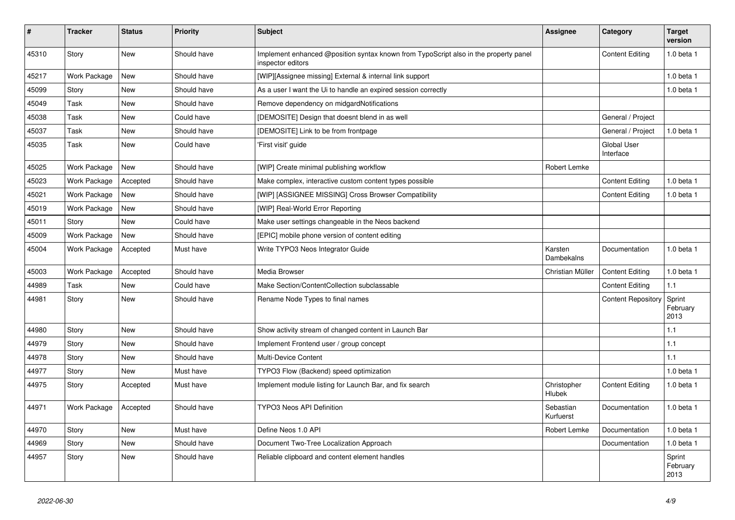| ∦     | <b>Tracker</b> | <b>Status</b> | <b>Priority</b> | <b>Subject</b>                                                                                            | <b>Assignee</b>        | Category                        | <b>Target</b><br>version   |
|-------|----------------|---------------|-----------------|-----------------------------------------------------------------------------------------------------------|------------------------|---------------------------------|----------------------------|
| 45310 | Story          | <b>New</b>    | Should have     | Implement enhanced @position syntax known from TypoScript also in the property panel<br>inspector editors |                        | <b>Content Editing</b>          | 1.0 beta 1                 |
| 45217 | Work Package   | <b>New</b>    | Should have     | [WIP][Assignee missing] External & internal link support                                                  |                        |                                 | 1.0 beta 1                 |
| 45099 | Story          | <b>New</b>    | Should have     | As a user I want the Ui to handle an expired session correctly                                            |                        |                                 | 1.0 beta 1                 |
| 45049 | Task           | New           | Should have     | Remove dependency on midgardNotifications                                                                 |                        |                                 |                            |
| 45038 | Task           | <b>New</b>    | Could have      | [DEMOSITE] Design that doesnt blend in as well                                                            |                        | General / Project               |                            |
| 45037 | Task           | New           | Should have     | [DEMOSITE] Link to be from frontpage                                                                      |                        | General / Project               | 1.0 beta 1                 |
| 45035 | Task           | New           | Could have      | 'First visit' guide                                                                                       |                        | <b>Global User</b><br>Interface |                            |
| 45025 | Work Package   | <b>New</b>    | Should have     | [WIP] Create minimal publishing workflow                                                                  | Robert Lemke           |                                 |                            |
| 45023 | Work Package   | Accepted      | Should have     | Make complex, interactive custom content types possible                                                   |                        | <b>Content Editing</b>          | 1.0 beta 1                 |
| 45021 | Work Package   | <b>New</b>    | Should have     | [WIP] [ASSIGNEE MISSING] Cross Browser Compatibility                                                      |                        | <b>Content Editing</b>          | 1.0 beta 1                 |
| 45019 | Work Package   | <b>New</b>    | Should have     | [WIP] Real-World Error Reporting                                                                          |                        |                                 |                            |
| 45011 | Story          | <b>New</b>    | Could have      | Make user settings changeable in the Neos backend                                                         |                        |                                 |                            |
| 45009 | Work Package   | New           | Should have     | [EPIC] mobile phone version of content editing                                                            |                        |                                 |                            |
| 45004 | Work Package   | Accepted      | Must have       | Write TYPO3 Neos Integrator Guide                                                                         | Karsten<br>Dambekalns  | Documentation                   | 1.0 beta 1                 |
| 45003 | Work Package   | Accepted      | Should have     | Media Browser                                                                                             | Christian Müller       | <b>Content Editing</b>          | 1.0 beta 1                 |
| 44989 | Task           | <b>New</b>    | Could have      | Make Section/ContentCollection subclassable                                                               |                        | <b>Content Editing</b>          | 1.1                        |
| 44981 | Story          | <b>New</b>    | Should have     | Rename Node Types to final names                                                                          |                        | <b>Content Repository</b>       | Sprint<br>February<br>2013 |
| 44980 | Story          | <b>New</b>    | Should have     | Show activity stream of changed content in Launch Bar                                                     |                        |                                 | 1.1                        |
| 44979 | Story          | New           | Should have     | Implement Frontend user / group concept                                                                   |                        |                                 | 1.1                        |
| 44978 | Story          | <b>New</b>    | Should have     | Multi-Device Content                                                                                      |                        |                                 | 1.1                        |
| 44977 | Story          | New           | Must have       | TYPO3 Flow (Backend) speed optimization                                                                   |                        |                                 | 1.0 beta 1                 |
| 44975 | Story          | Accepted      | Must have       | Implement module listing for Launch Bar, and fix search                                                   | Christopher<br>Hlubek  | <b>Content Editing</b>          | 1.0 beta 1                 |
| 44971 | Work Package   | Accepted      | Should have     | <b>TYPO3 Neos API Definition</b>                                                                          | Sebastian<br>Kurfuerst | Documentation                   | 1.0 beta 1                 |
| 44970 | Story          | New           | Must have       | Define Neos 1.0 API                                                                                       | Robert Lemke           | Documentation                   | $1.0$ beta $1$             |
| 44969 | Story          | New           | Should have     | Document Two-Tree Localization Approach                                                                   |                        | Documentation                   | 1.0 beta 1                 |
| 44957 | Story          | New           | Should have     | Reliable clipboard and content element handles                                                            |                        |                                 | Sprint<br>February<br>2013 |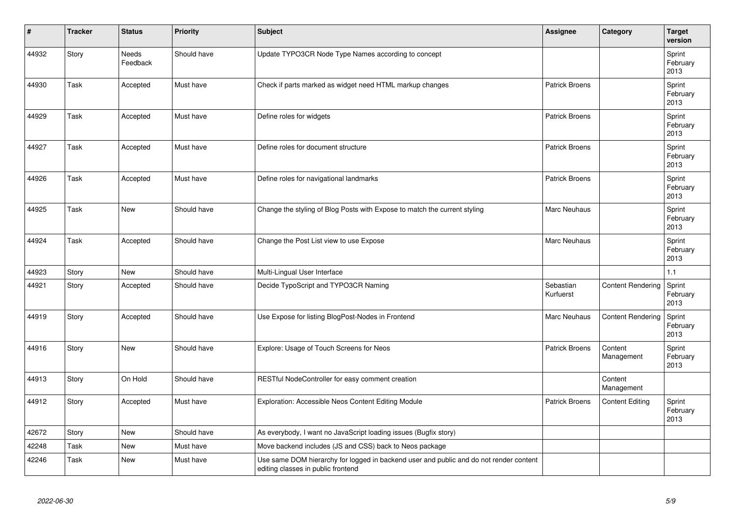| #     | <b>Tracker</b> | <b>Status</b>     | <b>Priority</b> | Subject                                                                                                                      | Assignee               | Category                 | <b>Target</b><br>version   |
|-------|----------------|-------------------|-----------------|------------------------------------------------------------------------------------------------------------------------------|------------------------|--------------------------|----------------------------|
| 44932 | Story          | Needs<br>Feedback | Should have     | Update TYPO3CR Node Type Names according to concept                                                                          |                        |                          | Sprint<br>February<br>2013 |
| 44930 | Task           | Accepted          | Must have       | Check if parts marked as widget need HTML markup changes                                                                     | <b>Patrick Broens</b>  |                          | Sprint<br>February<br>2013 |
| 44929 | Task           | Accepted          | Must have       | Define roles for widgets                                                                                                     | <b>Patrick Broens</b>  |                          | Sprint<br>February<br>2013 |
| 44927 | Task           | Accepted          | Must have       | Define roles for document structure                                                                                          | <b>Patrick Broens</b>  |                          | Sprint<br>February<br>2013 |
| 44926 | Task           | Accepted          | Must have       | Define roles for navigational landmarks                                                                                      | <b>Patrick Broens</b>  |                          | Sprint<br>February<br>2013 |
| 44925 | Task           | <b>New</b>        | Should have     | Change the styling of Blog Posts with Expose to match the current styling                                                    | <b>Marc Neuhaus</b>    |                          | Sprint<br>February<br>2013 |
| 44924 | Task           | Accepted          | Should have     | Change the Post List view to use Expose                                                                                      | Marc Neuhaus           |                          | Sprint<br>February<br>2013 |
| 44923 | Story          | New               | Should have     | Multi-Lingual User Interface                                                                                                 |                        |                          | 1.1                        |
| 44921 | Story          | Accepted          | Should have     | Decide TypoScript and TYPO3CR Naming                                                                                         | Sebastian<br>Kurfuerst | <b>Content Rendering</b> | Sprint<br>February<br>2013 |
| 44919 | Story          | Accepted          | Should have     | Use Expose for listing BlogPost-Nodes in Frontend                                                                            | Marc Neuhaus           | <b>Content Rendering</b> | Sprint<br>February<br>2013 |
| 44916 | Story          | <b>New</b>        | Should have     | Explore: Usage of Touch Screens for Neos                                                                                     | Patrick Broens         | Content<br>Management    | Sprint<br>February<br>2013 |
| 44913 | Story          | On Hold           | Should have     | RESTful NodeController for easy comment creation                                                                             |                        | Content<br>Management    |                            |
| 44912 | Story          | Accepted          | Must have       | Exploration: Accessible Neos Content Editing Module                                                                          | <b>Patrick Broens</b>  | <b>Content Editing</b>   | Sprint<br>February<br>2013 |
| 42672 | Story          | <b>New</b>        | Should have     | As everybody, I want no JavaScript loading issues (Bugfix story)                                                             |                        |                          |                            |
| 42248 | Task           | <b>New</b>        | Must have       | Move backend includes (JS and CSS) back to Neos package                                                                      |                        |                          |                            |
| 42246 | Task           | New               | Must have       | Use same DOM hierarchy for logged in backend user and public and do not render content<br>editing classes in public frontend |                        |                          |                            |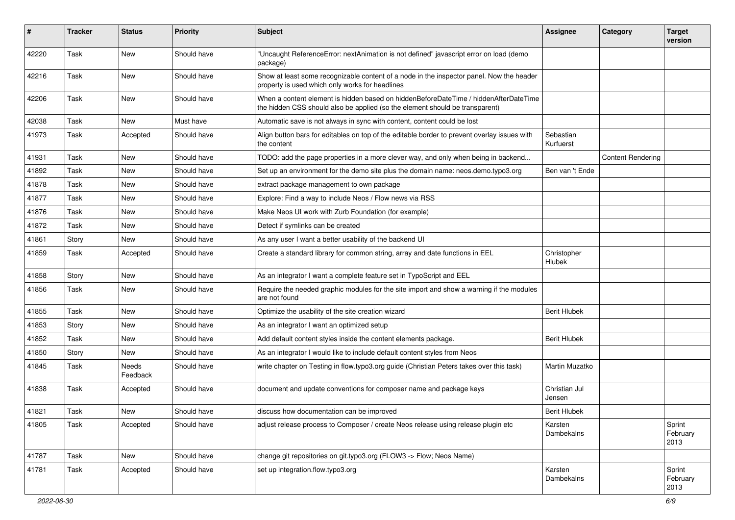| #     | <b>Tracker</b> | <b>Status</b>            | <b>Priority</b> | Subject                                                                                                                                                              | <b>Assignee</b>              | Category                 | <b>Target</b><br>version   |
|-------|----------------|--------------------------|-----------------|----------------------------------------------------------------------------------------------------------------------------------------------------------------------|------------------------------|--------------------------|----------------------------|
| 42220 | Task           | <b>New</b>               | Should have     | "Uncaught ReferenceError: nextAnimation is not defined" javascript error on load (demo<br>package)                                                                   |                              |                          |                            |
| 42216 | Task           | <b>New</b>               | Should have     | Show at least some recognizable content of a node in the inspector panel. Now the header<br>property is used which only works for headlines                          |                              |                          |                            |
| 42206 | Task           | New                      | Should have     | When a content element is hidden based on hiddenBeforeDateTime / hiddenAfterDateTime<br>the hidden CSS should also be applied (so the element should be transparent) |                              |                          |                            |
| 42038 | Task           | New                      | Must have       | Automatic save is not always in sync with content, content could be lost                                                                                             |                              |                          |                            |
| 41973 | Task           | Accepted                 | Should have     | Align button bars for editables on top of the editable border to prevent overlay issues with<br>the content                                                          | Sebastian<br>Kurfuerst       |                          |                            |
| 41931 | Task           | New                      | Should have     | TODO: add the page properties in a more clever way, and only when being in backend                                                                                   |                              | <b>Content Rendering</b> |                            |
| 41892 | Task           | <b>New</b>               | Should have     | Set up an environment for the demo site plus the domain name: neos.demo.typo3.org                                                                                    | Ben van 't Ende              |                          |                            |
| 41878 | Task           | <b>New</b>               | Should have     | extract package management to own package                                                                                                                            |                              |                          |                            |
| 41877 | Task           | New                      | Should have     | Explore: Find a way to include Neos / Flow news via RSS                                                                                                              |                              |                          |                            |
| 41876 | Task           | <b>New</b>               | Should have     | Make Neos UI work with Zurb Foundation (for example)                                                                                                                 |                              |                          |                            |
| 41872 | Task           | New                      | Should have     | Detect if symlinks can be created                                                                                                                                    |                              |                          |                            |
| 41861 | Story          | <b>New</b>               | Should have     | As any user I want a better usability of the backend UI                                                                                                              |                              |                          |                            |
| 41859 | Task           | Accepted                 | Should have     | Create a standard library for common string, array and date functions in EEL                                                                                         | Christopher<br><b>Hlubek</b> |                          |                            |
| 41858 | Story          | <b>New</b>               | Should have     | As an integrator I want a complete feature set in TypoScript and EEL                                                                                                 |                              |                          |                            |
| 41856 | Task           | <b>New</b>               | Should have     | Require the needed graphic modules for the site import and show a warning if the modules<br>are not found                                                            |                              |                          |                            |
| 41855 | Task           | <b>New</b>               | Should have     | Optimize the usability of the site creation wizard                                                                                                                   | <b>Berit Hlubek</b>          |                          |                            |
| 41853 | Story          | New                      | Should have     | As an integrator I want an optimized setup                                                                                                                           |                              |                          |                            |
| 41852 | Task           | <b>New</b>               | Should have     | Add default content styles inside the content elements package.                                                                                                      | <b>Berit Hlubek</b>          |                          |                            |
| 41850 | Story          | <b>New</b>               | Should have     | As an integrator I would like to include default content styles from Neos                                                                                            |                              |                          |                            |
| 41845 | Task           | <b>Needs</b><br>Feedback | Should have     | write chapter on Testing in flow.typo3.org guide (Christian Peters takes over this task)                                                                             | Martin Muzatko               |                          |                            |
| 41838 | Task           | Accepted                 | Should have     | document and update conventions for composer name and package keys                                                                                                   | Christian Jul<br>Jensen      |                          |                            |
| 41821 | Task           | <b>New</b>               | Should have     | discuss how documentation can be improved                                                                                                                            | <b>Berit Hlubek</b>          |                          |                            |
| 41805 | Task           | Accepted                 | Should have     | adjust release process to Composer / create Neos release using release plugin etc                                                                                    | Karsten<br>Dambekalns        |                          | Sprint<br>February<br>2013 |
| 41787 | Task           | New                      | Should have     | change git repositories on git.typo3.org (FLOW3 -> Flow; Neos Name)                                                                                                  |                              |                          |                            |
| 41781 | Task           | Accepted                 | Should have     | set up integration.flow.typo3.org                                                                                                                                    | Karsten<br>Dambekalns        |                          | Sprint<br>February<br>2013 |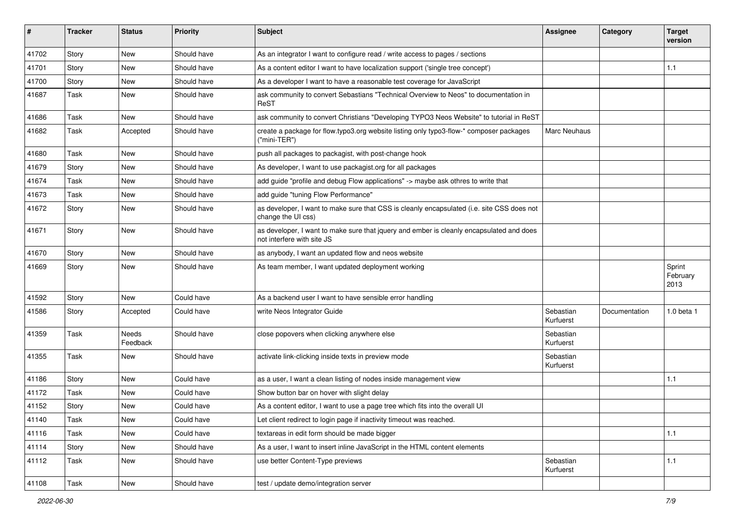| #     | <b>Tracker</b> | <b>Status</b>     | <b>Priority</b> | <b>Subject</b>                                                                                                         | <b>Assignee</b>        | Category      | <b>Target</b><br>version   |
|-------|----------------|-------------------|-----------------|------------------------------------------------------------------------------------------------------------------------|------------------------|---------------|----------------------------|
| 41702 | Story          | <b>New</b>        | Should have     | As an integrator I want to configure read / write access to pages / sections                                           |                        |               |                            |
| 41701 | Story          | New               | Should have     | As a content editor I want to have localization support ('single tree concept')                                        |                        |               | 1.1                        |
| 41700 | Story          | New               | Should have     | As a developer I want to have a reasonable test coverage for JavaScript                                                |                        |               |                            |
| 41687 | Task           | <b>New</b>        | Should have     | ask community to convert Sebastians "Technical Overview to Neos" to documentation in<br>ReST                           |                        |               |                            |
| 41686 | Task           | <b>New</b>        | Should have     | ask community to convert Christians "Developing TYPO3 Neos Website" to tutorial in ReST                                |                        |               |                            |
| 41682 | Task           | Accepted          | Should have     | create a package for flow typo3.org website listing only typo3-flow-* composer packages<br>("mini-TER")                | Marc Neuhaus           |               |                            |
| 41680 | Task           | <b>New</b>        | Should have     | push all packages to packagist, with post-change hook                                                                  |                        |               |                            |
| 41679 | Story          | New               | Should have     | As developer, I want to use packagist.org for all packages                                                             |                        |               |                            |
| 41674 | Task           | New               | Should have     | add guide "profile and debug Flow applications" -> maybe ask othres to write that                                      |                        |               |                            |
| 41673 | Task           | <b>New</b>        | Should have     | add guide "tuning Flow Performance"                                                                                    |                        |               |                            |
| 41672 | Story          | New               | Should have     | as developer, I want to make sure that CSS is cleanly encapsulated (i.e. site CSS does not<br>change the UI css)       |                        |               |                            |
| 41671 | Story          | New               | Should have     | as developer, I want to make sure that jquery and ember is cleanly encapsulated and does<br>not interfere with site JS |                        |               |                            |
| 41670 | Story          | <b>New</b>        | Should have     | as anybody, I want an updated flow and neos website                                                                    |                        |               |                            |
| 41669 | Story          | New               | Should have     | As team member, I want updated deployment working                                                                      |                        |               | Sprint<br>February<br>2013 |
| 41592 | Story          | <b>New</b>        | Could have      | As a backend user I want to have sensible error handling                                                               |                        |               |                            |
| 41586 | Story          | Accepted          | Could have      | write Neos Integrator Guide                                                                                            | Sebastian<br>Kurfuerst | Documentation | $1.0$ beta $1$             |
| 41359 | Task           | Needs<br>Feedback | Should have     | close popovers when clicking anywhere else                                                                             | Sebastian<br>Kurfuerst |               |                            |
| 41355 | Task           | New               | Should have     | activate link-clicking inside texts in preview mode                                                                    | Sebastian<br>Kurfuerst |               |                            |
| 41186 | Story          | <b>New</b>        | Could have      | as a user, I want a clean listing of nodes inside management view                                                      |                        |               | 1.1                        |
| 41172 | Task           | New               | Could have      | Show button bar on hover with slight delay                                                                             |                        |               |                            |
| 41152 | Story          | New               | Could have      | As a content editor, I want to use a page tree which fits into the overall UI                                          |                        |               |                            |
| 41140 | Task           | New               | Could have      | Let client redirect to login page if inactivity timeout was reached.                                                   |                        |               |                            |
| 41116 | Task           | New               | Could have      | textareas in edit form should be made bigger                                                                           |                        |               | 1.1                        |
| 41114 | Story          | New               | Should have     | As a user, I want to insert inline JavaScript in the HTML content elements                                             |                        |               |                            |
| 41112 | Task           | New               | Should have     | use better Content-Type previews                                                                                       | Sebastian<br>Kurfuerst |               | $1.1$                      |
| 41108 | Task           | New               | Should have     | test / update demo/integration server                                                                                  |                        |               |                            |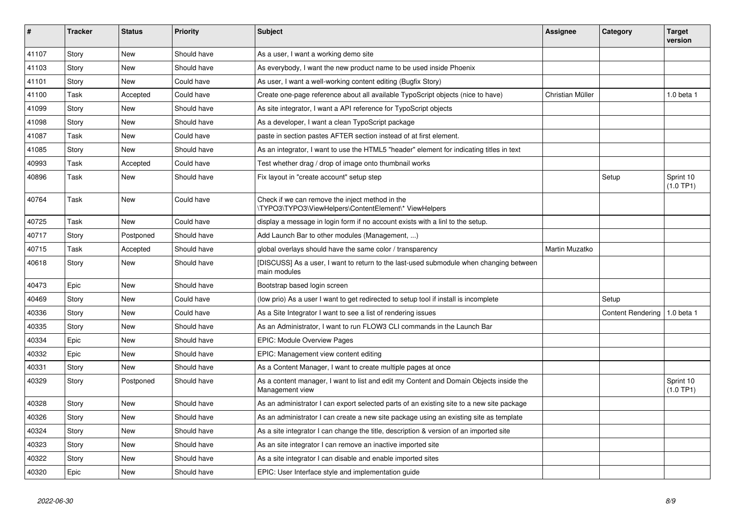| #     | <b>Tracker</b> | <b>Status</b> | <b>Priority</b> | <b>Subject</b>                                                                                            | Assignee         | Category                 | <b>Target</b><br>version |
|-------|----------------|---------------|-----------------|-----------------------------------------------------------------------------------------------------------|------------------|--------------------------|--------------------------|
| 41107 | Story          | <b>New</b>    | Should have     | As a user, I want a working demo site                                                                     |                  |                          |                          |
| 41103 | Story          | New           | Should have     | As everybody, I want the new product name to be used inside Phoenix                                       |                  |                          |                          |
| 41101 | Story          | <b>New</b>    | Could have      | As user, I want a well-working content editing (Bugfix Story)                                             |                  |                          |                          |
| 41100 | Task           | Accepted      | Could have      | Create one-page reference about all available TypoScript objects (nice to have)                           | Christian Müller |                          | 1.0 beta 1               |
| 41099 | Story          | New           | Should have     | As site integrator, I want a API reference for TypoScript objects                                         |                  |                          |                          |
| 41098 | Story          | New           | Should have     | As a developer, I want a clean TypoScript package                                                         |                  |                          |                          |
| 41087 | Task           | New           | Could have      | paste in section pastes AFTER section instead of at first element.                                        |                  |                          |                          |
| 41085 | Story          | <b>New</b>    | Should have     | As an integrator, I want to use the HTML5 "header" element for indicating titles in text                  |                  |                          |                          |
| 40993 | Task           | Accepted      | Could have      | Test whether drag / drop of image onto thumbnail works                                                    |                  |                          |                          |
| 40896 | Task           | New           | Should have     | Fix layout in "create account" setup step                                                                 |                  | Setup                    | Sprint 10<br>(1.0 TP1)   |
| 40764 | Task           | <b>New</b>    | Could have      | Check if we can remove the inject method in the<br>\TYPO3\TYPO3\ViewHelpers\ContentElement\* ViewHelpers  |                  |                          |                          |
| 40725 | Task           | <b>New</b>    | Could have      | display a message in login form if no account exists with a linl to the setup.                            |                  |                          |                          |
| 40717 | Story          | Postponed     | Should have     | Add Launch Bar to other modules (Management, )                                                            |                  |                          |                          |
| 40715 | Task           | Accepted      | Should have     | global overlays should have the same color / transparency                                                 | Martin Muzatko   |                          |                          |
| 40618 | Story          | New           | Should have     | [DISCUSS] As a user, I want to return to the last-used submodule when changing between<br>main modules    |                  |                          |                          |
| 40473 | Epic           | <b>New</b>    | Should have     | Bootstrap based login screen                                                                              |                  |                          |                          |
| 40469 | Story          | <b>New</b>    | Could have      | (low prio) As a user I want to get redirected to setup tool if install is incomplete                      |                  | Setup                    |                          |
| 40336 | Story          | <b>New</b>    | Could have      | As a Site Integrator I want to see a list of rendering issues                                             |                  | <b>Content Rendering</b> | 1.0 beta 1               |
| 40335 | Story          | <b>New</b>    | Should have     | As an Administrator, I want to run FLOW3 CLI commands in the Launch Bar                                   |                  |                          |                          |
| 40334 | Epic           | <b>New</b>    | Should have     | <b>EPIC: Module Overview Pages</b>                                                                        |                  |                          |                          |
| 40332 | Epic           | <b>New</b>    | Should have     | EPIC: Management view content editing                                                                     |                  |                          |                          |
| 40331 | Story          | <b>New</b>    | Should have     | As a Content Manager, I want to create multiple pages at once                                             |                  |                          |                          |
| 40329 | Story          | Postponed     | Should have     | As a content manager, I want to list and edit my Content and Domain Objects inside the<br>Management view |                  |                          | Sprint 10<br>(1.0 TP1)   |
| 40328 | Story          | <b>New</b>    | Should have     | As an administrator I can export selected parts of an existing site to a new site package                 |                  |                          |                          |
| 40326 | Story          | New           | Should have     | As an administrator I can create a new site package using an existing site as template                    |                  |                          |                          |
| 40324 | Story          | <b>New</b>    | Should have     | As a site integrator I can change the title, description & version of an imported site                    |                  |                          |                          |
| 40323 | Story          | <b>New</b>    | Should have     | As an site integrator I can remove an inactive imported site                                              |                  |                          |                          |
| 40322 | Story          | <b>New</b>    | Should have     | As a site integrator I can disable and enable imported sites                                              |                  |                          |                          |
| 40320 | Epic           | New           | Should have     | EPIC: User Interface style and implementation guide                                                       |                  |                          |                          |